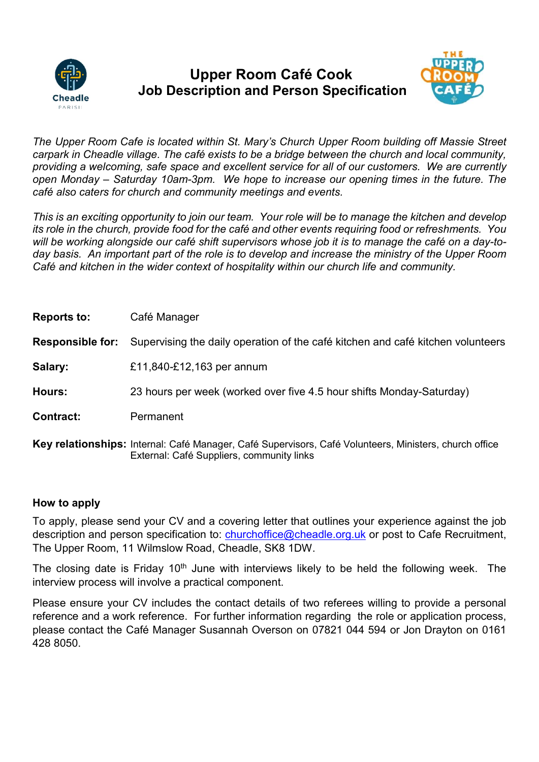

## Upper Room Café Cook Job Description and Person Specification



The Upper Room Cafe is located within St. Mary's Church Upper Room building off Massie Street carpark in Cheadle village. The café exists to be a bridge between the church and local community, providing a welcoming, safe space and excellent service for all of our customers. We are currently open Monday – Saturday 10am-3pm. We hope to increase our opening times in the future. The café also caters for church and community meetings and events.

This is an exciting opportunity to join our team. Your role will be to manage the kitchen and develop its role in the church, provide food for the café and other events requiring food or refreshments. You will be working alongside our café shift supervisors whose job it is to manage the café on a day-today basis. An important part of the role is to develop and increase the ministry of the Upper Room Café and kitchen in the wider context of hospitality within our church life and community.

| <b>Reports to:</b>      | Café Manager                                                                                                                                        |
|-------------------------|-----------------------------------------------------------------------------------------------------------------------------------------------------|
| <b>Responsible for:</b> | Supervising the daily operation of the café kitchen and café kitchen volunteers                                                                     |
| Salary:                 | £11,840-£12,163 per annum                                                                                                                           |
| Hours:                  | 23 hours per week (worked over five 4.5 hour shifts Monday-Saturday)                                                                                |
| <b>Contract:</b>        | Permanent                                                                                                                                           |
|                         | Key relationships: Internal: Café Manager, Café Supervisors, Café Volunteers, Ministers, church office<br>External: Café Suppliers, community links |

## How to apply

To apply, please send your CV and a covering letter that outlines your experience against the job description and person specification to: churchoffice@cheadle.org.uk or post to Cafe Recruitment, The Upper Room, 11 Wilmslow Road, Cheadle, SK8 1DW.

The closing date is Friday 10<sup>th</sup> June with interviews likely to be held the following week. The interview process will involve a practical component.

Please ensure your CV includes the contact details of two referees willing to provide a personal reference and a work reference. For further information regarding the role or application process, please contact the Café Manager Susannah Overson on 07821 044 594 or Jon Drayton on 0161 428 8050.